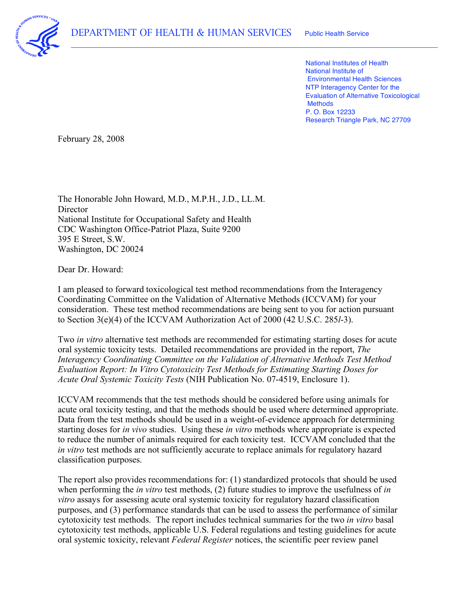

 National Institutes of Health National Institute of Environmental Health Sciences NTP Interagency Center for the Evaluation of Alternative Toxicological P. O. Box 12233 Research Triangle Park, NC 27709 **Methods** 

February 28, 2008

 The Honorable John Howard, M.D., M.P.H., J.D., LL.M. National Institute for Occupational Safety and Health CDC Washington Office-Patriot Plaza, Suite 9200 395 E Street, S.W. Washington, DC 20024 Director

Dear Dr. Howard:

 I am pleased to forward toxicological test method recommendations from the Interagency Coordinating Committee on the Validation of Alternative Methods (ICCVAM) for your consideration. These test method recommendations are being sent to you for action pursuant to Section 3(e)(4) of the ICCVAM Authorization Act of 2000 (42 U.S.C. 285*l*-3).

 Two *in vitro* alternative test methods are recommended for estimating starting doses for acute oral systemic toxicity tests. Detailed recommendations are provided in the report, *The Interagency Coordinating Committee on the Validation of Alternative Methods Test Method Evaluation Report: In Vitro Cytotoxicity Test Methods for Estimating Starting Doses for Acute Oral Systemic Toxicity Tests* (NIH Publication No. 07-4519, Enclosure 1).

 ICCVAM recommends that the test methods should be considered before using animals for acute oral toxicity testing, and that the methods should be used where determined appropriate. Data from the test methods should be used in a weight-of-evidence approach for determining starting doses for *in vivo* studies. Using these *in vitro* methods where appropriate is expected to reduce the number of animals required for each toxicity test. ICCVAM concluded that the *in vitro* test methods are not sufficiently accurate to replace animals for regulatory hazard classification purposes.

 The report also provides recommendations for: (1) standardized protocols that should be used when performing the *in vitro* test methods, (2) future studies to improve the usefulness of *in vitro* assays for assessing acute oral systemic toxicity for regulatory hazard classification purposes, and (3) performance standards that can be used to assess the performance of similar cytotoxicity test methods. The report includes technical summaries for the two *in vitro* basal cytotoxicity test methods, applicable U.S. Federal regulations and testing guidelines for acute oral systemic toxicity, relevant *Federal Register* notices, the scientific peer review panel